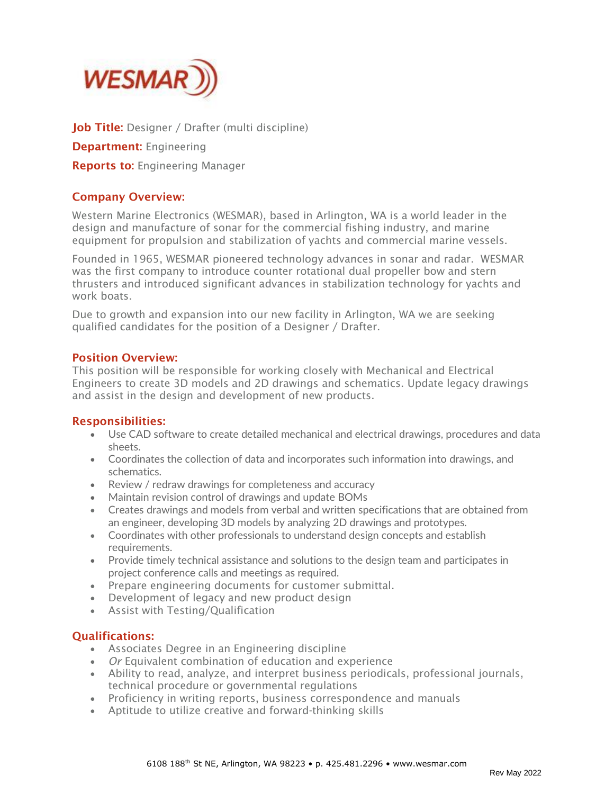

Job Title: Designer / Drafter (multi discipline)

**Department:** Engineering

**Reports to: Engineering Manager** 

## Company Overview:

Western Marine Electronics (WESMAR), based in Arlington, WA is a world leader in the design and manufacture of sonar for the commercial fishing industry, and marine equipment for propulsion and stabilization of yachts and commercial marine vessels.

Founded in 1965, WESMAR pioneered technology advances in sonar and radar. WESMAR was the first company to introduce counter rotational dual propeller bow and stern thrusters and introduced significant advances in stabilization technology for yachts and work boats.

Due to growth and expansion into our new facility in Arlington, WA we are seeking qualified candidates for the position of a Designer / Drafter.

## Position Overview:

This position will be responsible for working closely with Mechanical and Electrical Engineers to create 3D models and 2D drawings and schematics. Update legacy drawings and assist in the design and development of new products.

## Responsibilities:

- Use CAD software to create detailed mechanical and electrical drawings, procedures and data sheets.
- Coordinates the collection of data and incorporates such information into drawings, and schematics.
- Review / redraw drawings for completeness and accuracy
- Maintain revision control of drawings and update BOMs
- Creates drawings and models from verbal and written specifications that are obtained from an engineer, developing 3D models by analyzing 2D drawings and prototypes.
- Coordinates with other professionals to understand design concepts and establish requirements.
- Provide timely technical assistance and solutions to the design team and participates in project conference calls and meetings as required.
- Prepare engineering documents for customer submittal.
- Development of legacy and new product design
- Assist with Testing/Qualification

## Qualifications:

- Associates Degree in an Engineering discipline
- *Or* Equivalent combination of education and experience
- Ability to read, analyze, and interpret business periodicals, professional journals, technical procedure or governmental regulations
- Proficiency in writing reports, business correspondence and manuals
- Aptitude to utilize creative and forward-thinking skills